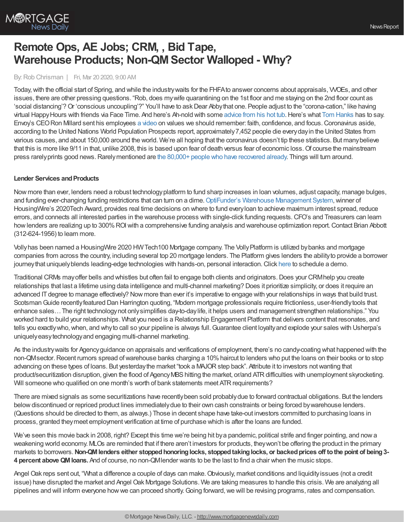

# **Remote Ops, AE Jobs; CRM, , Bid Tape, Warehouse Products; Non-QMSector Walloped - Why?**

### By:Rob Chrisman | Fri, Mar 20 2020, 9:00 AM

Today, with the official start of Spring, and while the industry waits for the FHFA to answer concerns about appraisals, WOEs, and other issues, there are other pressing questions. "Rob, does mywife quarantining on the 1st floor and me staying on the 2nd floor count as 'social distancing'? Or 'conscious uncoupling'?" You'll have to ask Dear Abby that one. People adjust to the "corona-cation," like having virtual HappyHours with friends via Face Time. And here's Ah-nold with some [advice](https://twitter.com/Schwarzenegger/status/1240418674491543552) from his hot tub.Here's what Tom [Hanks](https://www.cnn.com/2020/03/18/entertainment/tom-hanks-rita-wilson-coronavirus-update/index.html) has to say. Envoy's CEORon Millard sent his employees a [video](https://www.envoymortgage.com/envoys-response-to-covid-19/) on values we should remember: faith, confidence, and focus.Coronavirus aside, according to the United Nations World Population Prospects report, approximately7,452 people die everydayin the United States from various causes, and about 150,000 around the world. We're all hoping that the coronavirus doesn't tip these statistics. But manybelieve that this is more like 9/11 in that, unlike 2008, this is based upon fear of death versus fear of economic loss. Of course the mainstream press rarelyprints good news.Rarelymentioned are the 80,000+ people who have [recovered](https://thehill.com/changing-america/well-being/prevention-cures/487280-nearly-70000-people-have-recovered-from) already. Things will turn around.

## **Lender Services and Products**

Now more than ever, lenders need a robust technologyplatform to fund sharp increases in loan volumes, adjust capacity, manage bulges, and funding ever-changing funding restrictions that can turn on a dime. OptiFunder's Warehouse [Management](http://www.optifunder.com/) System, winner of HousingWire's 2020Tech Award, provides real time decisions on where to fund everyloan to achieve maximum interest spread, reduce errors, and connects all interested parties in the warehouse process with single-click funding requests.CFO's and Treasurers can learn how lenders are realizing up to 300% ROI with a comprehensive funding analysis and warehouse optimization report. Contact Brian Abbott (312-624-1956) to learn more.

Vollyhas been named a HousingWire 2020 HWTech100 Mortgage company. The VollyPlatform is utilized bybanks and mortgage companies from across the country, including several top 20 mortgage lenders. The Platform gives lenders the abilityto provide a borrower journey that uniquely blends leading-edge technologies with hands-on, personal interaction. Click [here](https://www.myvolly.com/try/) to schedule a demo.

Traditional CRMs mayoffer bells and whistles but often fail to engage both clients and originators.Does your CRMhelp you create relationships that last a lifetime using data intelligence and multi-channel marketing? Does it prioritize simplicity, or does it require an advanced IT degree to manage effectively? Now more than ever it's imperative to engage with your relationships in ways that build trust. Scotsman Guide recently featured Dan Harrington quoting, "Modern mortgage professionals require frictionless, user-friendly tools that enhance sales…The right technologynot onlysimplifies day-to-daylife, it helps users and management strengthen relationships." You worked hard to build your relationships. What you need is a Relationship Engagement Platform that delivers content that resonates, and tells you exactly who, when, and why to call so your pipeline is always full. Guarantee client loyalty and explode your sales with Usherpa's uniquelyeasytechnologyand engaging multi-channel marketing.

As the industrywaits for Agencyguidance on appraisals and verifications of employment, there's no candy-coating what happened with the non-QMsector. Recent rumors spread of warehouse banks charging a 10% haircut to lenders who put the loans on their books or to stop advancing on these types of loans. But yesterdaythe market "took a MAJORstep back". Attribute it to investors notwanting that product/securitization disruption, given the flood of Agency MBS hitting the market, or/and ATR difficulties with unemployment skyrocketing. Will someone who qualified on one month's worth of bank statements meet ATR requirements?

There are mixed signals as some securitizations have recentlybeen sold probablydue to forward contractual obligations. But the lenders belowdiscontinued or repriced product lines immediatelydue to their own cash constraints or being forced bywarehouse lenders. (Questions should be directed to them, as always.) Those in decent shape have take-out investors committed to purchasing loans in process, granted theymeet employment verification at time of purchase which is after the loans are funded.

We've seen this movie back in 2008, right? Except this time we're being hit bya pandemic, political strife and finger pointing, and nowa weakening world economy. MLOs are reminded that if there aren't investors for products, theywon't be offering the product in the primary markets to borrowers.**Non-QMlenders either stoppedhonoringlocks, stoppedtakinglocks, or backedprices off tothe point of being3- 4 percent aboveQMloans.** And of course, no non-QMlender wants to be the last to find a chair when the music stops.

Angel Oak reps sent out, "What a difference a couple of days can make. Obviously, market conditions and liquidity issues (not a credit issue) have disrupted the market and Angel Oak Mortgage Solutions. We are taking measures to handle this crisis. We are analyzing all pipelines and will inform everyone how we can proceed shortly. Going forward, we will be revising programs, rates and compensation.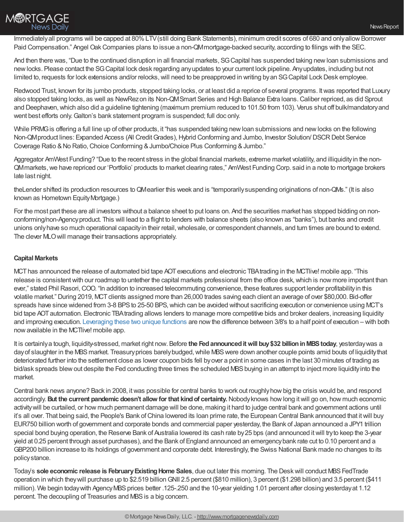

Immediatelyall programs will be capped at 80%LTV(still doing Bank Statements), minimum credit scores of 680 and onlyallowBorrower Paid Compensation." Angel Oak Companies plans to issue a non-QMmortgage-backed security, according to filings with the SEC.

And then there was, "Due to the continued disruption in all financial markets, SGCapital has suspended taking newloan submissions and newlocks. Please contact the SGCapital lock desk regarding anyupdates to your current lock pipeline. Anyupdates, including but not limited to, requests for lock extensions and/or relocks, will need to be preapproved in writing by an SG Capital Lock Desk employee.

Redwood Trust, known for its jumbo products, stopped taking locks, or at least did a reprice of several programs. Itwas reported that Luxury also stopped taking locks, as well as NewRezon its Non-QMSmart Series and High Balance Extra loans.Caliber repriced, as did Sprout and Deephaven,which also did a guideline tightening (maximum premium reduced to 101.50 from 103). Verus shut off bulk/mandatoryand went best efforts only. Galton's bank statement program is suspended; full doc only.

While PRMG is offering a full line up of other products, it "has suspended taking new loan submissions and new locks on the following Non-QMproduct lines: Expanded Access (All Credit Grades), Hybrid Conforming and Jumbo, Investor Solution/DSCR Debt Service Coverage Ratio & No Ratio, Choice Conforming & Jumbo/Choice Plus Conforming & Jumbo."

Aggregator AmWest Funding? "Due to the recent stress in the global financial markets, extreme market volatility, and illiquidityin the non-QMmarkets,we have repriced our 'Portfolio' products to market clearing rates," AmWest Funding Corp. said in a note to mortgage brokers late last night.

theLender shifted its production resources toQMearlier this week and is "temporarilysuspending originations of non-QMs." (It is also known as Hometown Equity Mortgage.)

For the most part these are all investors without a balance sheet to put loans on. And the securities market has stopped bidding on nonconforming/non-Agencyproduct. This will lead to a flight to lenders with balance sheets (also known as "banks"), but banks and credit unions only have so much operational capacity in their retail, wholesale, or correspondent channels, and turn times are bound to extend. The clever MLOwill manage their transactions appropriately.

# **Capital Markets**

MCThas announced the release of automated bid tape AOTexecutions and electronic TBAtrading in the MCTlive! mobile app. "This release is consistent with our roadmap to untether the capital markets professional from the office desk, which is now more important than ever," stated Phil Rasori,COO. "In addition to increased telecommuting convenience, these features support lender profitabilityin this volatile market." During 2019, MCT clients assigned more than 26,000 trades saving each client an average of over \$80,000. Bid-offer spreads have since widened from 3-8 BPS to 25-50 BPS, which can be avoided without sacrificing execution or convenience using MCT's bid tape AOT automation. Electronic TBA trading allows lenders to manage more competitive bids and broker dealers, increasing liquidity and improving execution. [Leveraging](https://mct-trading.com/contact/?mssg=I%2527m%20interested%20in%20leveraging%20electronic%20TBA%20trading%20and%20bid%20tape%20AOT%20automation.&utm_source=Rob%20Chrisman&utm_medium=MCTlive%20App%20Update&utm_campaign=Chrisman%20Blurb%20MCTlive%20App%20Update) these two unique functions are nowthe difference between 3/8's to a half point of execution – with both nowavailable in the MCTlive! mobile app.

It is certainlya tough, liquidity-stressed, market right now. Before **the Fedannounceditwill buy\$32 billioninMBStoday**, yesterdaywas a day of slaughter in the MBS market. Treasury prices barely budged, while MBS were down another couple points amid bouts of liquidity that deteriorated further into the settlement close as lower coupon bids fell byover a point in some cases in the last 30 minutes of trading as bid/ask spreads blew out despite the Fed conducting three times the scheduled MBS buying in an attempt to inject more liquidity into the market.

Central bank news anyone? Back in 2008, itwas possible for central banks to work out roughlyhowbig the crisis would be, and respond accordingly.**But the current pandemic doesn't allow for that kindof certainty.**Nobodyknows howlong itwill go on, how much economic activitywill be curtailed, or how much permanent damage will be done, making it hard to judge central bank and government actions until it's all over. That being said, the People's Bank ofChina lowered its loan prime rate, the European Central Bank announced that itwill buy EUR750 billion worth of government and corporate bonds and commercial paper yesterday, the Bank of Japan announced a JPY1 trillion special bond buying operation, the Reserve Bank of Australia lowered its cash rate by 25 bps (and announced it will try to keep the 3-year yield at 0.25 percent through asset purchases), and the Bank of England announced an emergencybank rate cut to 0.10 percent and a GBP200 billion increase to its holdings of government and corporate debt. Interestingly, the Swiss National Bank made no changes to its policystance.

Today's **sole economic release is FebruaryExistingHome Sales**, due out later this morning. The Deskwill conduct MBSFedTrade operation in which theywill purchase up to \$2.519 billionGNII 2.5 percent (\$810 million), 3 percent (\$1.298 billion) and 3.5 percent (\$411 million). We begin today with Agency MBS prices better .125-.250 and the 10-year yielding 1.01 percent after closing yesterday at 1.12 percent. The decoupling of Treasuries and MBS is a big concern.